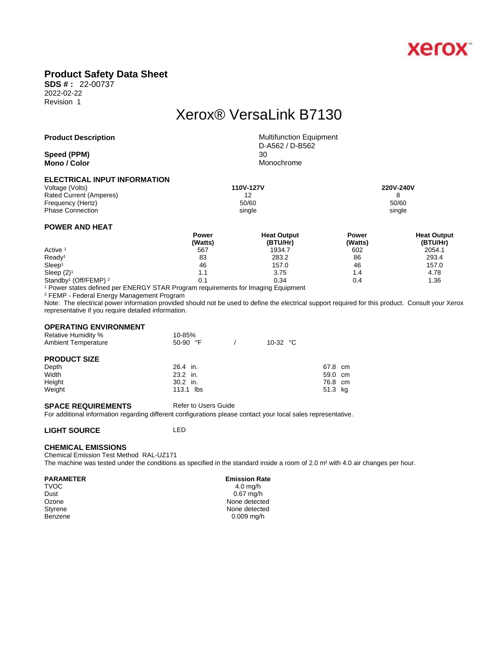

## **Product Safety Data Sheet**

**SDS # :** 22-00737 2022-02-22 Revision 1

# Xerox® VersaLink B7130

### **Product Description** Multifunction Equipment

**Speed** (PPM) **Mono / Color** Monochrome

D-A562 / D-B562

#### **ELECTRICAL INPUT INFORMATION**

Voltage (Volts) **110V-127V 220V-240V**  Rated Current (Amperes) 12 12<br>
Frequency (Hertz) 60/60<br>
50/60 Frequency (Hertz) Phase Connection single single single single single single single single single single

### **POWER AND HEAT**

|                                              | Power   | <b>Heat Output</b> | Power   | <b>Heat Output</b> |  |
|----------------------------------------------|---------|--------------------|---------|--------------------|--|
|                                              | (Watts) | (BTU/Hr)           | (Watts) | (BTU/Hr)           |  |
| Active <sup>1</sup>                          | 567     | 1934.7             | 602     | 2054.1             |  |
| Ready <sup>1</sup>                           | 83      | 283.2              | 86      | 293.4              |  |
| Sleep <sup>1</sup>                           | 46      | 157.0              | 46      | 157.0              |  |
| Sleep $(2)^1$                                | 1.1     | 3.75               | 4.،     | 4.78               |  |
| Standby <sup>1</sup> (Off/FEMP) <sup>2</sup> | 0.1     | 0.34               | 0.4     | 1.36               |  |

1 Power states defined per ENERGY STAR Program requirements for Imaging Equipment

2 FEMP - Federal Energy Management Program

Note: The electrical power information provided should not be used to define the electrical support required for this product. Consult your Xerox representative if you require detailed information.

#### **OPERATING ENVIRONMENT**

| <b>Relative Humidity %</b><br><b>Ambient Temperature</b> | 10-85%<br>$50-90$ °F | 10-32 $\degree$ C |         |  |
|----------------------------------------------------------|----------------------|-------------------|---------|--|
| <b>PRODUCT SIZE</b>                                      |                      |                   |         |  |
| Depth                                                    | 26.4 in.             |                   | 67.8 cm |  |
| Width                                                    | 23.2 in.             |                   | 59.0 cm |  |
| Height                                                   | $30.2$ in.           |                   | 76.8 cm |  |
| Weight                                                   | 113.1 lbs            |                   | 51.3 kg |  |

#### **SPACE REQUIREMENTS** Refer to Users Guide

For additional information regarding different configurations please contact your local sales representative.

#### **LIGHT SOURCE** LED

#### **CHEMICAL EMISSIONS**

Chemical Emission Test Method RAL-UZ171 The machine was tested under the conditions as specified in the standard inside a room of 2.0 m<sup>3</sup> with 4.0 air changes per hour.

#### **PARAMETER** Emission Rate

 $\mathsf{TVOC}$  and  $\mathsf{TVOC}$  are the set of  $\mathsf{TV}$  and  $\mathsf{TV}$  and  $\mathsf{TV}$  are  $\mathsf{TV}$  and  $\mathsf{TV}$  and  $\mathsf{TV}$  are  $\mathsf{TV}$  and  $\mathsf{TV}$  are  $\mathsf{TV}$  and  $\mathsf{TV}$  are  $\mathsf{TV}$  and  $\mathsf{TV}$  are  $\mathsf{TV}$  and  $\mathsf{TV}$  are Dust 0.67 mg/h Ozone None detected<br>
Styrene None detected<br>
None detected None detected Benzene 0.009 mg/h